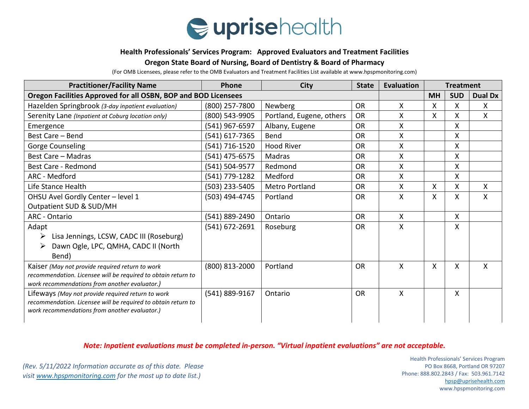

#### **Health Professionals' Services Program: Approved Evaluators and Treatment Facilities**

## **Oregon State Board of Nursing, Board of Dentistry & Board of Pharmacy**

(For OMB Licensees, please refer to the OMB Evaluators and Treatment Facilities List available at www.hpspmonitoring.com)

| <b>Practitioner/Facility Name</b>                                                                              | Phone          | <b>City</b>              | <b>State</b> | <b>Evaluation</b> | <b>Treatment</b> |            |                |
|----------------------------------------------------------------------------------------------------------------|----------------|--------------------------|--------------|-------------------|------------------|------------|----------------|
| Oregon Facilities Approved for all OSBN, BOP and BOD Licensees                                                 |                |                          |              |                   | <b>MH</b>        | <b>SUD</b> | <b>Dual Dx</b> |
| Hazelden Springbrook (3-day inpatient evaluation)                                                              | (800) 257-7800 | Newberg                  | <b>OR</b>    | X                 | X                | X          | $\mathsf{X}$   |
| Serenity Lane (Inpatient at Coburg location only)                                                              | (800) 543-9905 | Portland, Eugene, others | <b>OR</b>    | Χ                 | Χ                | Χ          | X              |
| Emergence                                                                                                      | (541) 967-6597 | Albany, Eugene           | <b>OR</b>    | X                 |                  | X          |                |
| Best Care - Bend                                                                                               | (541) 617-7365 | Bend                     | <b>OR</b>    | X                 |                  | Χ          |                |
| Gorge Counseling                                                                                               | (541) 716-1520 | <b>Hood River</b>        | <b>OR</b>    | X                 |                  | Χ          |                |
| <b>Best Care - Madras</b>                                                                                      | (541) 475-6575 | Madras                   | <b>OR</b>    | Χ                 |                  | Χ          |                |
| Best Care - Redmond                                                                                            | (541) 504-9577 | Redmond                  | <b>OR</b>    | Χ                 |                  | X          |                |
| ARC - Medford                                                                                                  | (541) 779-1282 | Medford                  | <b>OR</b>    | X                 |                  | X          |                |
| Life Stance Health                                                                                             | (503) 233-5405 | <b>Metro Portland</b>    | <b>OR</b>    | Χ                 | X                | X          | X              |
| OHSU Avel Gordly Center - level 1                                                                              | (503) 494-4745 | Portland                 | <b>OR</b>    | X                 | X                | X          | X              |
| Outpatient SUD & SUD/MH                                                                                        |                |                          |              |                   |                  |            |                |
| <b>ARC</b> - Ontario                                                                                           | (541) 889-2490 | Ontario                  | <b>OR</b>    | X                 |                  | X          |                |
| Adapt                                                                                                          | (541) 672-2691 | Roseburg                 | <b>OR</b>    | X                 |                  | X          |                |
| Lisa Jennings, LCSW, CADC III (Roseburg)<br>➤                                                                  |                |                          |              |                   |                  |            |                |
| Dawn Ogle, LPC, QMHA, CADC II (North<br>➤                                                                      |                |                          |              |                   |                  |            |                |
| Bend)                                                                                                          |                |                          |              |                   |                  |            |                |
| Kaiser (May not provide required return to work                                                                | (800) 813-2000 | Portland                 | <b>OR</b>    | X                 | X                | Χ          | X              |
| recommendation. Licensee will be required to obtain return to                                                  |                |                          |              |                   |                  |            |                |
| work recommendations from another evaluator.)                                                                  |                |                          |              |                   |                  |            |                |
| Lifeways (May not provide required return to work                                                              | (541) 889-9167 | Ontario                  | <b>OR</b>    | X                 |                  | X.         |                |
| recommendation. Licensee will be required to obtain return to<br>work recommendations from another evaluator.) |                |                          |              |                   |                  |            |                |
|                                                                                                                |                |                          |              |                   |                  |            |                |

# *Note: Inpatient evaluations must be completed in-person. "Virtual inpatient evaluations" are not acceptable.*

*(Rev. 5/11/2022 Information accurate as of this date. Please visit [www.hpspmonitoring.com](http://www.hpspmonitoring.com/) for the most up to date list.)* 

**Health Professionals' Services Program** PO Box 8668, Portland OR 97207 Phone: 888.802.2843 / Fax: 503.961.7142 [hpsp@uprisehealth.com](mailto:hpsp@uprisehealth.com) www.hpspmonitoring.com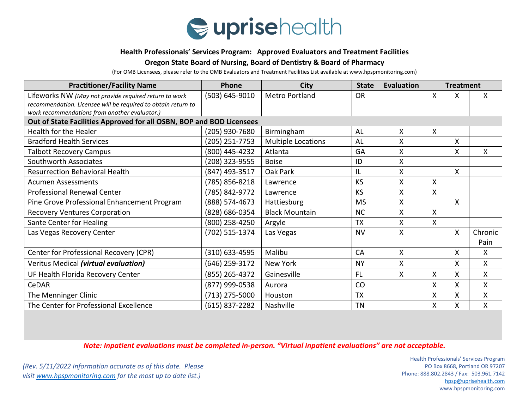

### **Health Professionals' Services Program: Approved Evaluators and Treatment Facilities**

## **Oregon State Board of Nursing, Board of Dentistry & Board of Pharmacy**

(For OMB Licensees, please refer to the OMB Evaluators and Treatment Facilities List available at www.hpspmonitoring.com)

| <b>Practitioner/Facility Name</b>                                    | Phone            | <b>City</b>               | <b>State</b> | <b>Evaluation</b> | <b>Treatment</b> |   |              |  |
|----------------------------------------------------------------------|------------------|---------------------------|--------------|-------------------|------------------|---|--------------|--|
| Lifeworks NW (May not provide required return to work                | (503) 645-9010   | <b>Metro Portland</b>     | <b>OR</b>    |                   | X                | X | $\mathsf{X}$ |  |
| recommendation. Licensee will be required to obtain return to        |                  |                           |              |                   |                  |   |              |  |
| work recommendations from another evaluator.)                        |                  |                           |              |                   |                  |   |              |  |
| Out of State Facilities Approved for all OSBN, BOP and BOD Licensees |                  |                           |              |                   |                  |   |              |  |
| Health for the Healer                                                | (205) 930-7680   | Birmingham                | <b>AL</b>    | X                 | Χ                |   |              |  |
| <b>Bradford Health Services</b>                                      | (205) 251-7753   | <b>Multiple Locations</b> | AL           | X                 |                  | X |              |  |
| <b>Talbott Recovery Campus</b>                                       | (800) 445-4232   | Atlanta                   | GA           | X                 |                  | X | $\mathsf{X}$ |  |
| Southworth Associates                                                | (208) 323-9555   | <b>Boise</b>              | ID           | X                 |                  |   |              |  |
| <b>Resurrection Behavioral Health</b>                                | (847) 493-3517   | Oak Park                  | IL           | X                 |                  | X |              |  |
| <b>Acumen Assessments</b>                                            | (785) 856-8218   | Lawrence                  | <b>KS</b>    | X                 | X.               |   |              |  |
| Professional Renewal Center                                          | (785) 842-9772   | Lawrence                  | <b>KS</b>    | X                 | X                |   |              |  |
| Pine Grove Professional Enhancement Program                          | (888) 574-4673   | Hattiesburg               | <b>MS</b>    | X                 |                  | X |              |  |
| <b>Recovery Ventures Corporation</b>                                 | (828) 686-0354   | <b>Black Mountain</b>     | <b>NC</b>    | X                 | X                |   |              |  |
| Sante Center for Healing                                             | (800) 258-4250   | Argyle                    | TX           | X                 | X.               |   |              |  |
| Las Vegas Recovery Center                                            | (702) 515-1374   | Las Vegas                 | <b>NV</b>    | X                 |                  | X | Chronic      |  |
|                                                                      |                  |                           |              |                   |                  |   | Pain         |  |
| Center for Professional Recovery (CPR)                               | (310) 633-4595   | Malibu                    | CA           | $\mathsf{X}$      |                  | Χ | X            |  |
| Veritus Medical (virtual evaluation)                                 | (646) 259-3172   | <b>New York</b>           | <b>NY</b>    | X                 |                  | X | $\mathsf{X}$ |  |
| UF Health Florida Recovery Center                                    | (855) 265-4372   | Gainesville               | <b>FL</b>    | $\mathsf{X}$      | X.               | X | X.           |  |
| CeDAR                                                                | (877) 999-0538   | Aurora                    | CO           |                   | Χ                | Χ | Χ            |  |
| The Menninger Clinic                                                 | (713) 275-5000   | Houston                   | <b>TX</b>    |                   | Χ                | Χ | X            |  |
| The Center for Professional Excellence                               | $(615)$ 837-2282 | Nashville                 | <b>TN</b>    |                   | X                | Χ | Χ            |  |

*Note: Inpatient evaluations must be completed in-person. "Virtual inpatient evaluations" are not acceptable.*

*(Rev. 5/11/2022 Information accurate as of this date. Please visit [www.hpspmonitoring.com](http://www.hpspmonitoring.com/) for the most up to date list.)* 

**Health Professionals' Services Program** PO Box 8668, Portland OR 97207 Phone: 888.802.2843 / Fax: 503.961.7142 [hpsp@uprisehealth.com](mailto:hpsp@uprisehealth.com) www.hpspmonitoring.com